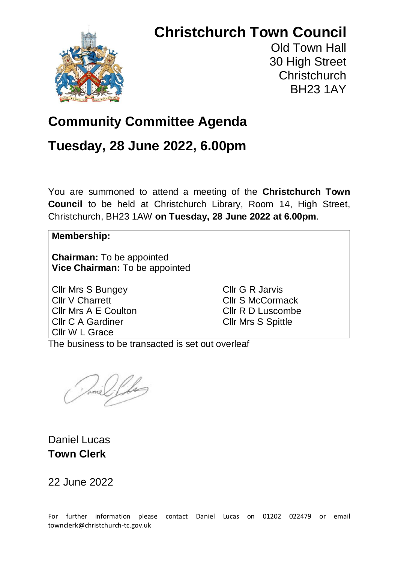# **Christchurch Town Council**

Old Town Hall 30 High Street **Christchurch** BH23 1AY

## **Community Committee Agenda**

## **Tuesday, 28 June 2022, 6.00pm**

You are summoned to attend a meeting of the **Christchurch Town Council** to be held at Christchurch Library, Room 14, High Street, Christchurch, BH23 1AW **on Tuesday, 28 June 2022 at 6.00pm**.

### **Membership:**

**Chairman:** To be appointed **Vice Chairman:** To be appointed

Cllr Mrs S Bungey Cllr V Charrett Cllr Mrs A E Coulton Cllr C A Gardiner Cllr W L Grace

Cllr G R Jarvis Cllr S McCormack Cllr R D Luscombe Cllr Mrs S Spittle

The business to be transacted is set out overleaf

Daniel Lucas **Town Clerk**

22 June 2022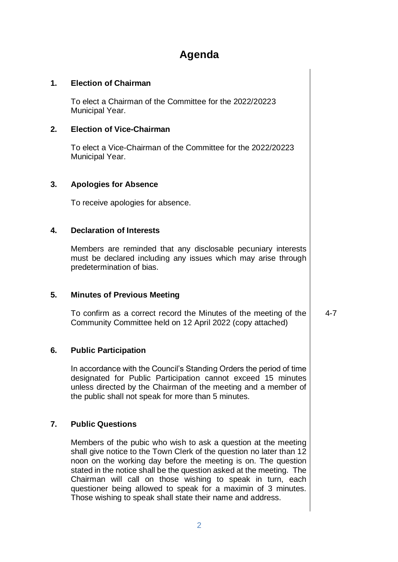## **Agenda**

#### **1. Election of Chairman**

To elect a Chairman of the Committee for the 2022/20223 Municipal Year.

#### **2. Election of Vice-Chairman**

To elect a Vice-Chairman of the Committee for the 2022/20223 Municipal Year.

#### **3. Apologies for Absence**

To receive apologies for absence.

#### **4. Declaration of Interests**

Members are reminded that any disclosable pecuniary interests must be declared including any issues which may arise through predetermination of bias.

#### **5. Minutes of Previous Meeting**

To confirm as a correct record the Minutes of the meeting of the Community Committee held on 12 April 2022 (copy attached)

4-7

#### **6. Public Participation**

In accordance with the Council's Standing Orders the period of time designated for Public Participation cannot exceed 15 minutes unless directed by the Chairman of the meeting and a member of the public shall not speak for more than 5 minutes.

#### **7. Public Questions**

Members of the pubic who wish to ask a question at the meeting shall give notice to the Town Clerk of the question no later than 12 noon on the working day before the meeting is on. The question stated in the notice shall be the question asked at the meeting. The Chairman will call on those wishing to speak in turn, each questioner being allowed to speak for a maximin of 3 minutes. Those wishing to speak shall state their name and address.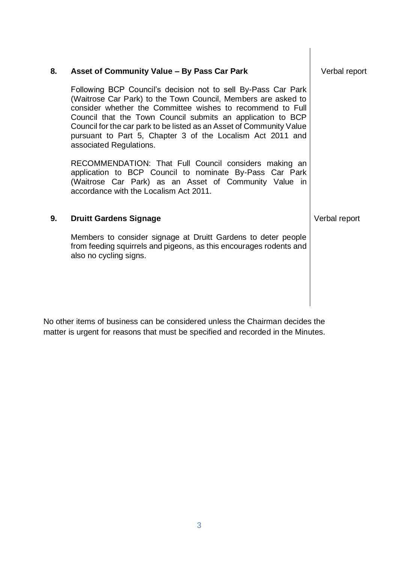| 8. | Asset of Community Value - By Pass Car Park                                                                                                                                                                                                                                                                                                                                                                                  | Verbal report |
|----|------------------------------------------------------------------------------------------------------------------------------------------------------------------------------------------------------------------------------------------------------------------------------------------------------------------------------------------------------------------------------------------------------------------------------|---------------|
|    | Following BCP Council's decision not to sell By-Pass Car Park<br>(Waitrose Car Park) to the Town Council, Members are asked to<br>consider whether the Committee wishes to recommend to Full<br>Council that the Town Council submits an application to BCP<br>Council for the car park to be listed as an Asset of Community Value<br>pursuant to Part 5, Chapter 3 of the Localism Act 2011 and<br>associated Regulations. |               |
|    | RECOMMENDATION: That Full Council considers making an<br>application to BCP Council to nominate By-Pass Car Park<br>(Waitrose Car Park) as an Asset of Community Value in<br>accordance with the Localism Act 2011.                                                                                                                                                                                                          |               |
| 9. | <b>Druitt Gardens Signage</b>                                                                                                                                                                                                                                                                                                                                                                                                | Verbal report |
|    | Members to consider signage at Druitt Gardens to deter people<br>from feeding squirrels and pigeons, as this encourages rodents and<br>also no cycling signs.                                                                                                                                                                                                                                                                |               |
|    |                                                                                                                                                                                                                                                                                                                                                                                                                              |               |

 $\overline{\phantom{a}}$ 

No other items of business can be considered unless the Chairman decides the matter is urgent for reasons that must be specified and recorded in the Minutes.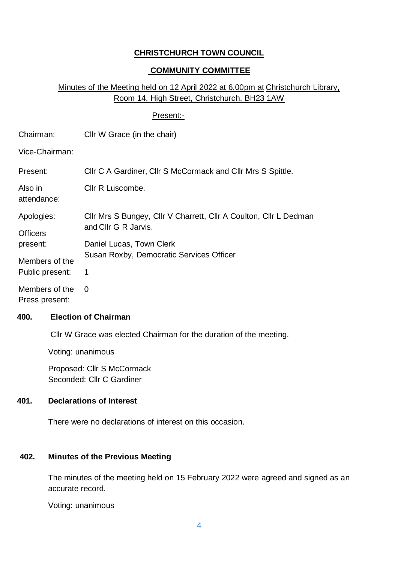### **CHRISTCHURCH TOWN COUNCIL**

#### **COMMUNITY COMMITTEE**

### Minutes of the Meeting held on 12 April 2022 at 6.00pm at Christchurch Library, Room 14, High Street, Christchurch, BH23 1AW

#### Present:-

| Chairman:                         | Cllr W Grace (in the chair)                                                               |
|-----------------------------------|-------------------------------------------------------------------------------------------|
| Vice-Chairman:                    |                                                                                           |
| Present:                          | Cllr C A Gardiner, Cllr S McCormack and Cllr Mrs S Spittle.                               |
| Also in<br>attendance:            | Cllr R Luscombe.                                                                          |
| Apologies:                        | Cllr Mrs S Bungey, Cllr V Charrett, Cllr A Coulton, Cllr L Dedman<br>and Cllr G R Jarvis. |
| <b>Officers</b><br>present:       | Daniel Lucas, Town Clerk                                                                  |
| Members of the<br>Public present: | Susan Roxby, Democratic Services Officer<br>1                                             |
| Members of the<br>Press present:  | $\Omega$                                                                                  |

#### **400. Election of Chairman**

Cllr W Grace was elected Chairman for the duration of the meeting.

Voting: unanimous

Proposed: Cllr S McCormack Seconded: Cllr C Gardiner

### **401. Declarations of Interest**

There were no declarations of interest on this occasion.

#### **402. Minutes of the Previous Meeting**

The minutes of the meeting held on 15 February 2022 were agreed and signed as an accurate record.

Voting: unanimous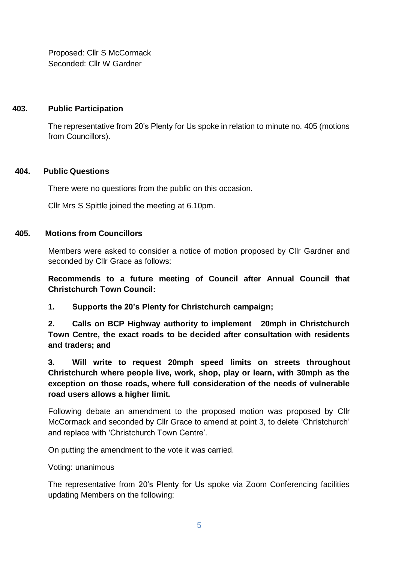Proposed: Cllr S McCormack Seconded: Cllr W Gardner

#### **403. Public Participation**

The representative from 20's Plenty for Us spoke in relation to minute no. 405 (motions from Councillors).

#### **404. Public Questions**

There were no questions from the public on this occasion.

Cllr Mrs S Spittle joined the meeting at 6.10pm.

#### **405. Motions from Councillors**

Members were asked to consider a notice of motion proposed by Cllr Gardner and seconded by Cllr Grace as follows:

**Recommends to a future meeting of Council after Annual Council that Christchurch Town Council:**

**1. Supports the 20's Plenty for Christchurch campaign;**

**2. Calls on BCP Highway authority to implement 20mph in Christchurch Town Centre, the exact roads to be decided after consultation with residents and traders; and**

**3. Will write to request 20mph speed limits on streets throughout Christchurch where people live, work, shop, play or learn, with 30mph as the exception on those roads, where full consideration of the needs of vulnerable road users allows a higher limit.**

Following debate an amendment to the proposed motion was proposed by Cllr McCormack and seconded by Cllr Grace to amend at point 3, to delete 'Christchurch' and replace with 'Christchurch Town Centre'.

On putting the amendment to the vote it was carried.

Voting: unanimous

The representative from 20's Plenty for Us spoke via Zoom Conferencing facilities updating Members on the following: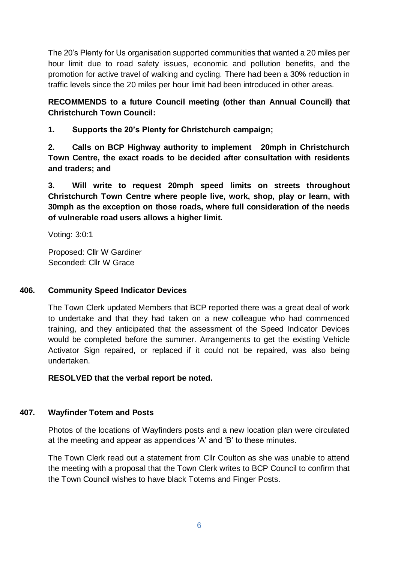The 20's Plenty for Us organisation supported communities that wanted a 20 miles per hour limit due to road safety issues, economic and pollution benefits, and the promotion for active travel of walking and cycling. There had been a 30% reduction in traffic levels since the 20 miles per hour limit had been introduced in other areas.

### **RECOMMENDS to a future Council meeting (other than Annual Council) that Christchurch Town Council:**

**1. Supports the 20's Plenty for Christchurch campaign;**

**2. Calls on BCP Highway authority to implement 20mph in Christchurch Town Centre, the exact roads to be decided after consultation with residents and traders; and**

**3. Will write to request 20mph speed limits on streets throughout Christchurch Town Centre where people live, work, shop, play or learn, with 30mph as the exception on those roads, where full consideration of the needs of vulnerable road users allows a higher limit.**

Voting: 3:0:1

Proposed: Cllr W Gardiner Seconded: Cllr W Grace

### **406. Community Speed Indicator Devices**

The Town Clerk updated Members that BCP reported there was a great deal of work to undertake and that they had taken on a new colleague who had commenced training, and they anticipated that the assessment of the Speed Indicator Devices would be completed before the summer. Arrangements to get the existing Vehicle Activator Sign repaired, or replaced if it could not be repaired, was also being undertaken.

**RESOLVED that the verbal report be noted.**

### **407. Wayfinder Totem and Posts**

Photos of the locations of Wayfinders posts and a new location plan were circulated at the meeting and appear as appendices 'A' and 'B' to these minutes.

The Town Clerk read out a statement from Cllr Coulton as she was unable to attend the meeting with a proposal that the Town Clerk writes to BCP Council to confirm that the Town Council wishes to have black Totems and Finger Posts.